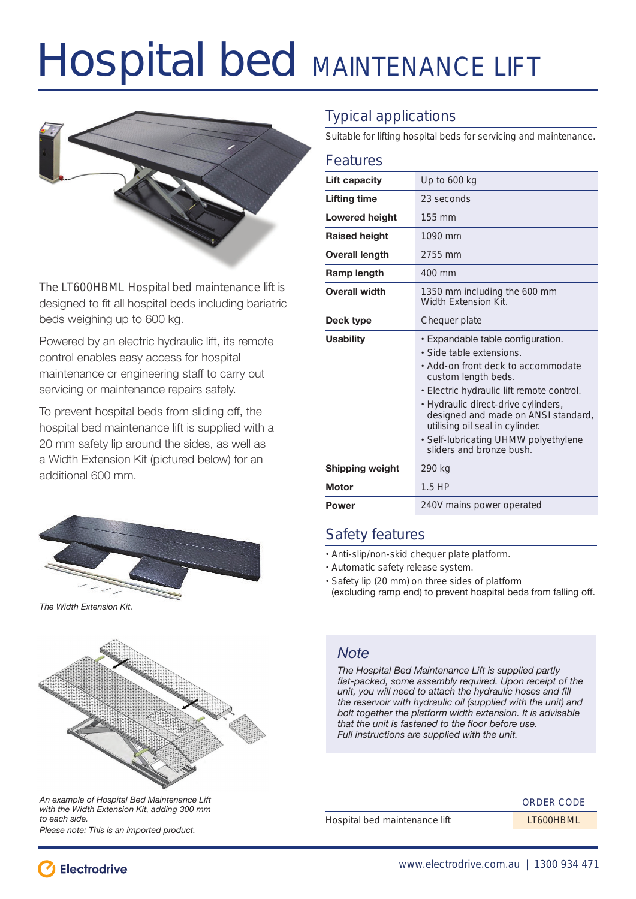# Hospital bed MAINTENANCE LIFT



The LT600HBML Hospital bed maintenance lift is designed to fit all hospital beds including bariatric beds weighing up to 600 kg.

Powered by an electric hydraulic lift, its remote control enables easy access for hospital maintenance or engineering staff to carry out servicing or maintenance repairs safely.

To prevent hospital beds from sliding off, the hospital bed maintenance lift is supplied with a 20 mm safety lip around the sides, as well as a Width Extension Kit (pictured below) for an additional 600 mm.



*The Width Extension Kit.*



*An example of Hospital Bed Maintenance Lift with the Width Extension Kit, adding 300 mm to each side. Please note: This is an imported product.* 

Typical applications

Suitable for lifting hospital beds for servicing and maintenance.

#### Features

| Lift capacity         | Up to 600 kg                                                                                                                                                                                                                                                                                                                                                 |
|-----------------------|--------------------------------------------------------------------------------------------------------------------------------------------------------------------------------------------------------------------------------------------------------------------------------------------------------------------------------------------------------------|
| Lifting time          | 23 seconds                                                                                                                                                                                                                                                                                                                                                   |
| <b>Lowered height</b> | $155 \text{ mm}$                                                                                                                                                                                                                                                                                                                                             |
| <b>Raised height</b>  | 1090 mm                                                                                                                                                                                                                                                                                                                                                      |
| <b>Overall length</b> | 2755 mm                                                                                                                                                                                                                                                                                                                                                      |
| Ramp length           | $400 \text{ mm}$                                                                                                                                                                                                                                                                                                                                             |
| <b>Overall width</b>  | 1350 mm including the 600 mm<br>Width Extension Kit.                                                                                                                                                                                                                                                                                                         |
| Deck type             | Chequer plate                                                                                                                                                                                                                                                                                                                                                |
| <b>Usability</b>      | • Expandable table configuration.<br>• Side table extensions.<br>• Add-on front deck to accommodate<br>custom length beds.<br>· Electric hydraulic lift remote control.<br>· Hydraulic direct-drive cylinders,<br>designed and made on ANSI standard,<br>utilising oil seal in cylinder.<br>· Self-lubricating UHMW polyethylene<br>sliders and bronze bush. |
| Shipping weight       | 290 kg                                                                                                                                                                                                                                                                                                                                                       |
| <b>Motor</b>          | $1.5$ HP                                                                                                                                                                                                                                                                                                                                                     |
| Power                 | 240V mains power operated                                                                                                                                                                                                                                                                                                                                    |
|                       |                                                                                                                                                                                                                                                                                                                                                              |

### Safety features

- Anti-slip/non-skid chequer plate platform.
- Automatic safety release system.
- Safety lip (20 mm) on three sides of platform (excluding ramp end) to prevent hospital beds from falling off .

### *Note*

*The Hospital Bed Maintenance Lift is supplied partly*  flat-packed, some assembly required. Upon receipt of the *unit, you will need to attach the hydraulic hoses and fill the reservoir with hydraulic oil (supplied with the unit) and bolt together the platform width extension. It is advisable that the unit is fastened to the floor before use. Full instructions are supplied with the unit.*

#### ORDER CODE

Hospital bed maintenance lift LT600HBML

**Electrodrive**